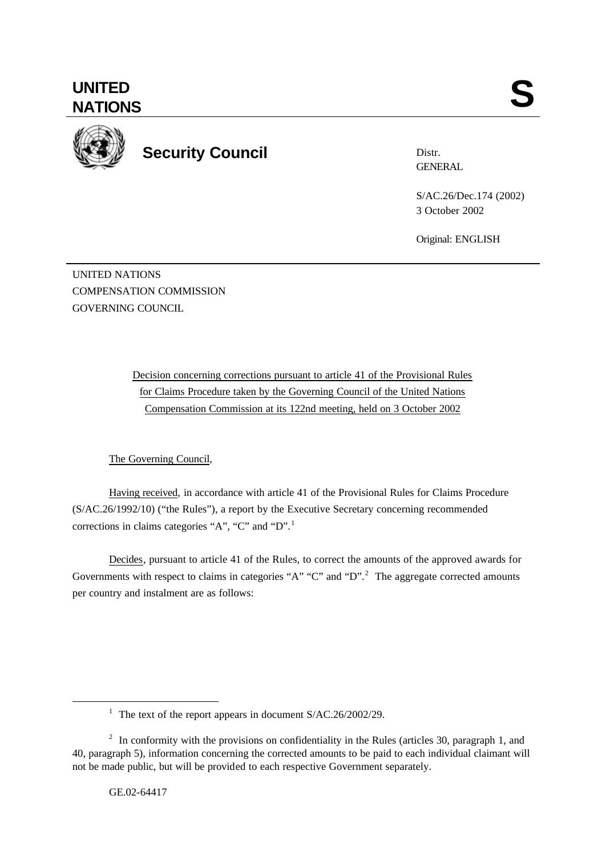

**Security Council**

Distr. **GENERAL** 

S/AC.26/Dec.174 (2002) 3 October 2002

Original: ENGLISH

UNITED NATIONS COMPENSATION COMMISSION GOVERNING COUNCIL

> Decision concerning corrections pursuant to article 41 of the Provisional Rules for Claims Procedure taken by the Governing Council of the United Nations Compensation Commission at its 122nd meeting, held on 3 October 2002

The Governing Council,

Having received, in accordance with article 41 of the Provisional Rules for Claims Procedure (S/AC.26/1992/10) ("the Rules"), a report by the Executive Secretary concerning recommended corrections in claims categories "A", "C" and "D".<sup>1</sup>

Decides, pursuant to article 41 of the Rules, to correct the amounts of the approved awards for Governments with respect to claims in categories "A" "C" and "D".<sup>2</sup> The aggregate corrected amounts per country and instalment are as follows:

l

<sup>&</sup>lt;sup>1</sup> The text of the report appears in document S/AC.26/2002/29.

<sup>&</sup>lt;sup>2</sup> In conformity with the provisions on confidentiality in the Rules (articles 30, paragraph 1, and 40, paragraph 5), information concerning the corrected amounts to be paid to each individual claimant will not be made public, but will be provided to each respective Government separately.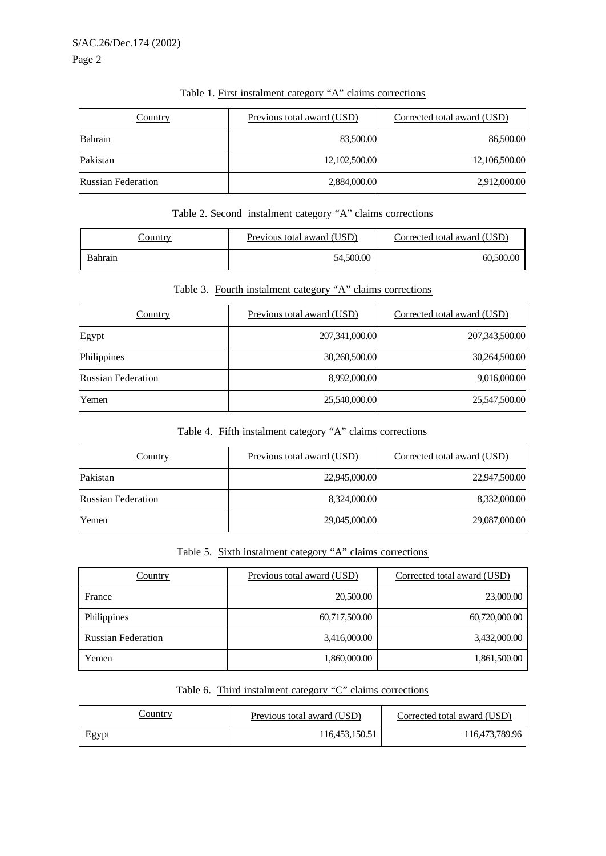Page 2

| Country                   | Previous total award (USD) | Corrected total award (USD) |
|---------------------------|----------------------------|-----------------------------|
| Bahrain                   | 83,500.00                  | 86,500.00                   |
| Pakistan                  | 12,102,500.00              | 12,106,500.00               |
| <b>Russian Federation</b> | 2,884,000.00               | 2,912,000.00                |

## Table 1. First instalment category "A" claims corrections

# Table 2. Second instalment category "A" claims corrections

| `ountry | Previous total award (USD) | Corrected total award (USD) |
|---------|----------------------------|-----------------------------|
| Bahrain | 54.500.00                  | 60,500.00                   |

# Table 3. Fourth instalment category "A" claims corrections

| Country                   | Previous total award (USD) | Corrected total award (USD) |
|---------------------------|----------------------------|-----------------------------|
| Egypt                     | 207,341,000.00             | 207,343,500.00              |
| Philippines               | 30,260,500.00              | 30,264,500.00               |
| <b>Russian Federation</b> | 8,992,000.00               | 9,016,000.00                |
| Yemen                     | 25,540,000.00              | 25,547,500.00               |

## Table 4. Fifth instalment category "A" claims corrections

| <b>Country</b>            | Previous total award (USD) | Corrected total award (USD) |
|---------------------------|----------------------------|-----------------------------|
| Pakistan                  | 22,945,000.00              | 22,947,500.00               |
| <b>Russian Federation</b> | 8,324,000.00               | 8,332,000.00                |
| Yemen                     | 29,045,000.00              | 29,087,000.00               |

# Table 5. Sixth instalment category "A" claims corrections

| <b>Country</b>            | Previous total award (USD) | Corrected total award (USD) |
|---------------------------|----------------------------|-----------------------------|
| France                    | 20,500.00                  | 23,000.00                   |
| Philippines               | 60,717,500.00              | 60,720,000.00               |
| <b>Russian Federation</b> | 3,416,000.00               | 3,432,000.00                |
| Yemen                     | 1,860,000.00               | 1,861,500.00                |

## Table 6. Third instalment category "C" claims corrections

| Country | Previous total award (USD) | Corrected total award (USD) |
|---------|----------------------------|-----------------------------|
| Egypt   | 116,453,150.51             | 116,473,789.96              |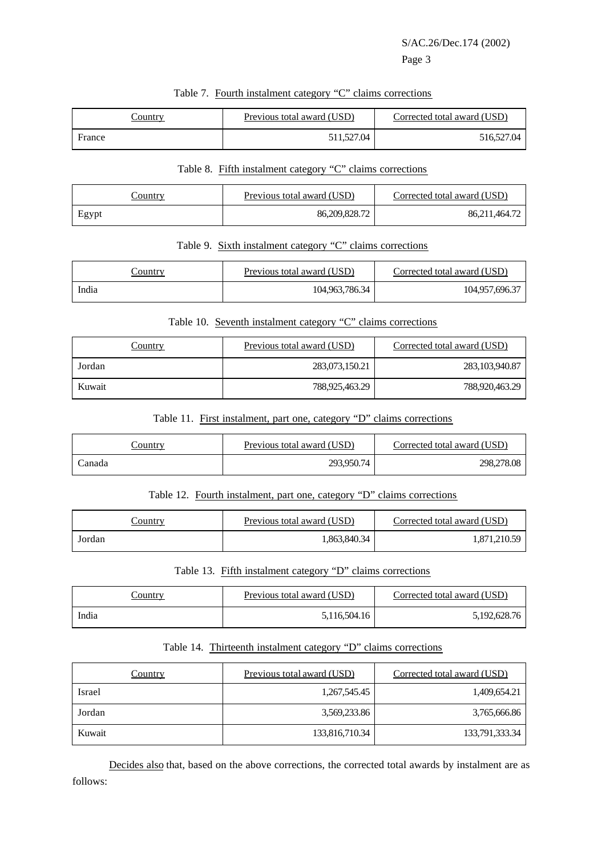# Page 3

| Country | Previous total award (USD) | Corrected total award (USD) |
|---------|----------------------------|-----------------------------|
| France  | 511.527.04                 | 516,527.04                  |

#### Table 7. Fourth instalment category "C" claims corrections

#### Table 8. Fifth instalment category "C" claims corrections

| Country | Previous total award (USD) | Corrected total award (USD) |
|---------|----------------------------|-----------------------------|
| Egypt   | 86,209,828.72              | 86,211,464.72               |

#### Table 9. Sixth instalment category "C" claims corrections

| Country | Previous total award (USD) | Corrected total award (USD) |
|---------|----------------------------|-----------------------------|
| India   | 104,963,786.34             | 104,957,696.37              |

## Table 10. Seventh instalment category "C" claims corrections

| Country | Previous total award (USD) | Corrected total award (USD) |
|---------|----------------------------|-----------------------------|
| Jordan  | 283,073,150.21             | 283, 103, 940. 87           |
| Kuwait  | 788,925,463.29             | 788,920,463.29              |

## Table 11. First instalment, part one, category "D" claims corrections

| Country | Previous total award (USD) | Corrected total award (USD) |
|---------|----------------------------|-----------------------------|
| ∴anada  | 293,950.74                 | 298,278.08                  |

## Table 12. Fourth instalment, part one, category "D" claims corrections

| Jountry | Previous total award (USD) | Corrected total award (USD) |
|---------|----------------------------|-----------------------------|
| Jordan  | .863,840.34                | .871.210.59                 |

#### Table 13. Fifth instalment category "D" claims corrections

| .`ountry | Previous total award (USD) | Corrected total award (USD) |
|----------|----------------------------|-----------------------------|
| India    | 5,116,504.16               | 5.192.628.76                |

# Table 14. Thirteenth instalment category "D" claims corrections

| <b>Country</b> | Previous total award (USD) | Corrected total award (USD) |
|----------------|----------------------------|-----------------------------|
| Israel         | 1,267,545.45               | 1,409,654.21                |
| Jordan         | 3,569,233.86               | 3,765,666.86                |
| Kuwait         | 133,816,710.34             | 133,791,333.34              |

Decides also that, based on the above corrections, the corrected total awards by instalment are as follows: